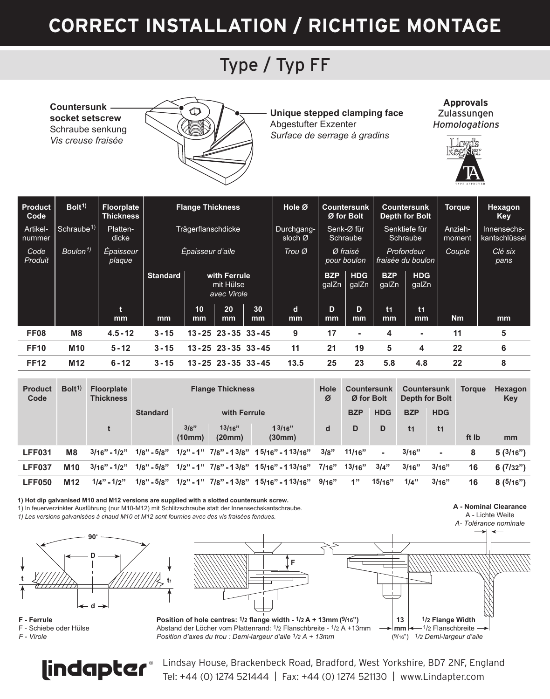# **CORRECT INSTALLATION / RICHTIGE MONTAGE**

#### Type / Typ FF

**Countersunk socket setscrew** Schraube senkung *Vis creuse fraisée*



**Unique stepped clamping face** Abgestufter Exzenter *Surface de serrage à gradins*

**Approvals** Zulassungen **Homologations** 



| Product<br>Code    | Bolt <sup>1)</sup>     | Floorplate<br><b>Thickness</b> | <b>Flange Thickness</b> |                                          |                         |          | Hole Ø                | Countersunk<br>Ø for Bolt |                     | Countersunk<br>Depth for Bolt |                                 | Torque            | Hexagon<br>Key               |
|--------------------|------------------------|--------------------------------|-------------------------|------------------------------------------|-------------------------|----------|-----------------------|---------------------------|---------------------|-------------------------------|---------------------------------|-------------------|------------------------------|
| Artikel-<br>nummer | Schraube <sup>1)</sup> | Platten-<br>dicke              | Trägerflanschdicke      |                                          |                         |          | Durchgang-<br>sloch Ø | Senk-Ø für<br>Schraube    |                     | Senktiefe für<br>Schraube     |                                 | Anzieh-<br>moment | Innensechs-<br>kantschlüssel |
| Code<br>Produit    | Boulon <sup>1)</sup>   | Epaisseur<br>plaque            | Épaisseur d'aile        |                                          |                         |          | Trou Ø                | Ø fraisé<br>pour boulon   |                     |                               | Profondeur<br>fraisée du boulon | <b>Couple</b>     | Clé six<br>pans              |
|                    |                        |                                | <b>Standard</b>         | with Ferrule<br>mit Hülse<br>avec Virole |                         |          |                       | <b>BZP</b><br>galZn       | <b>HDG</b><br>galZn | <b>BZP</b><br>galZn           | <b>HDG</b><br>galZn             |                   |                              |
|                    |                        | ŧ<br>mm                        | mm                      | 10<br>mm                                 | 20<br><sub>mm</sub>     | 30<br>mm | d<br>mm               | D.<br>mm                  | <sub>D</sub><br>mm  | t <sub>1</sub><br>mm          | t <sub>1</sub><br>mm            | <b>Nm</b>         | mm                           |
| <b>FF08</b>        | M <sub>8</sub>         | $4.5 - 12$                     | $3 - 15$                |                                          | 13 - 25 23 - 35 33 - 45 |          | 9                     | 17                        | ۰                   | $\overline{\mathbf{4}}$       | ٠                               | 11                | 5                            |
| <b>FF10</b>        | M10                    | $5 - 12$                       | $3 - 15$                |                                          | 13 - 25 23 - 35 33 - 45 |          | 11                    | 21                        | 19                  | 5                             | 4                               | 22                | 6                            |
| <b>FF12</b>        | M <sub>12</sub>        | $6 - 12$                       | $3 - 15$                |                                          | 13 - 25 23 - 35 33 - 45 |          | 13.5                  | 25                        | 23                  | 5.8                           | 4.8                             | 22                | 8                            |

| <b>Product</b><br>Code | Bolt <sup>1</sup> | <b>Floorplate</b><br><b>Thickness</b> | <b>Flange Thickness</b> |                |                  |                                               |       | Countersunk<br>Ø for Bolt |            | Countersunk<br>Depth for Bolt |                | <b>Torgue</b> | Hexagon<br>Key |
|------------------------|-------------------|---------------------------------------|-------------------------|----------------|------------------|-----------------------------------------------|-------|---------------------------|------------|-------------------------------|----------------|---------------|----------------|
|                        |                   |                                       | <b>Standard</b>         | with Ferrule   |                  |                                               |       | <b>BZP</b>                | <b>HDG</b> | <b>BZP</b>                    | <b>HDG</b>     |               |                |
|                        |                   |                                       |                         | 3/8"<br>(10mm) | 13/16"<br>(20mm) | 13/16"<br>(30mm)                              | d     | D                         | D          | t1                            | t <sub>1</sub> | ft Ib         | mm             |
| LFF031                 | M <sub>8</sub>    | $3/16" - 1/2"$                        | $1/8" - 5/8"$           |                |                  | $1/2" - 1"$ $7/8" - 13/8"$ $15/16" - 113/16"$ | 3/8"  | 11/16"                    | $\sim$     | 3/16"                         |                | 8             | 5(3/16")       |
| LFF037                 | M10               | $3/16" - 1/2"$                        | $1/8" - 5/8"$           |                |                  | $1/2"$ - 1" $7/8"$ - 13/8" 15/16" - 113/16"   | 7/16" | 13/16"                    | 3/4"       | 3/16"                         | 3/16"          | 16            | 6(7/32")       |
| <b>LFF050</b>          | M <sub>12</sub>   | $1/4" - 1/2"$                         | $1/8" - 5/8"$           |                |                  | $1/2" - 1"$ $7/8" - 13/8"$ $15/16" - 113/16"$ | 9/16" | 1"                        | 15/16"     | 1/4"                          | 3/16"          | 16            | 8(5/16")       |

**1) Hot dip galvanised M10 and M12 versions are supplied with a slotted countersunk screw.** 1) In feuerverzinkter Ausführung (nur M10-M12) mit Schlitzschraube statt der Innensechskantschraube.

*1) Les versions galvanisées à chaud M10 et M12 sont fournies avec des vis fraisées fendues.* 



**F - Ferrule**  F - Schiebe oder Hülse *F - Virole*



Abstand der Löcher vom Plattenrand: 1/2 Flanschbreite - 1/2 A +13mm *Position d'axes du trou : Demi-largeur d'aile 1/2 A + 13mm*

**A - Nominal Clearance**  A - Lichte Weite *A- Tolérance nominale*



*1/2 Demi-largeur d'aile* (9/16")



Indapter Chindsay House, Brackenbeck Road, Bradford, West Yorkshire, BD7 2NF, England Tel: +44 (0) 1274 521444 | Fax: +44 (0) 1274 521130 | www.Lindapter.com